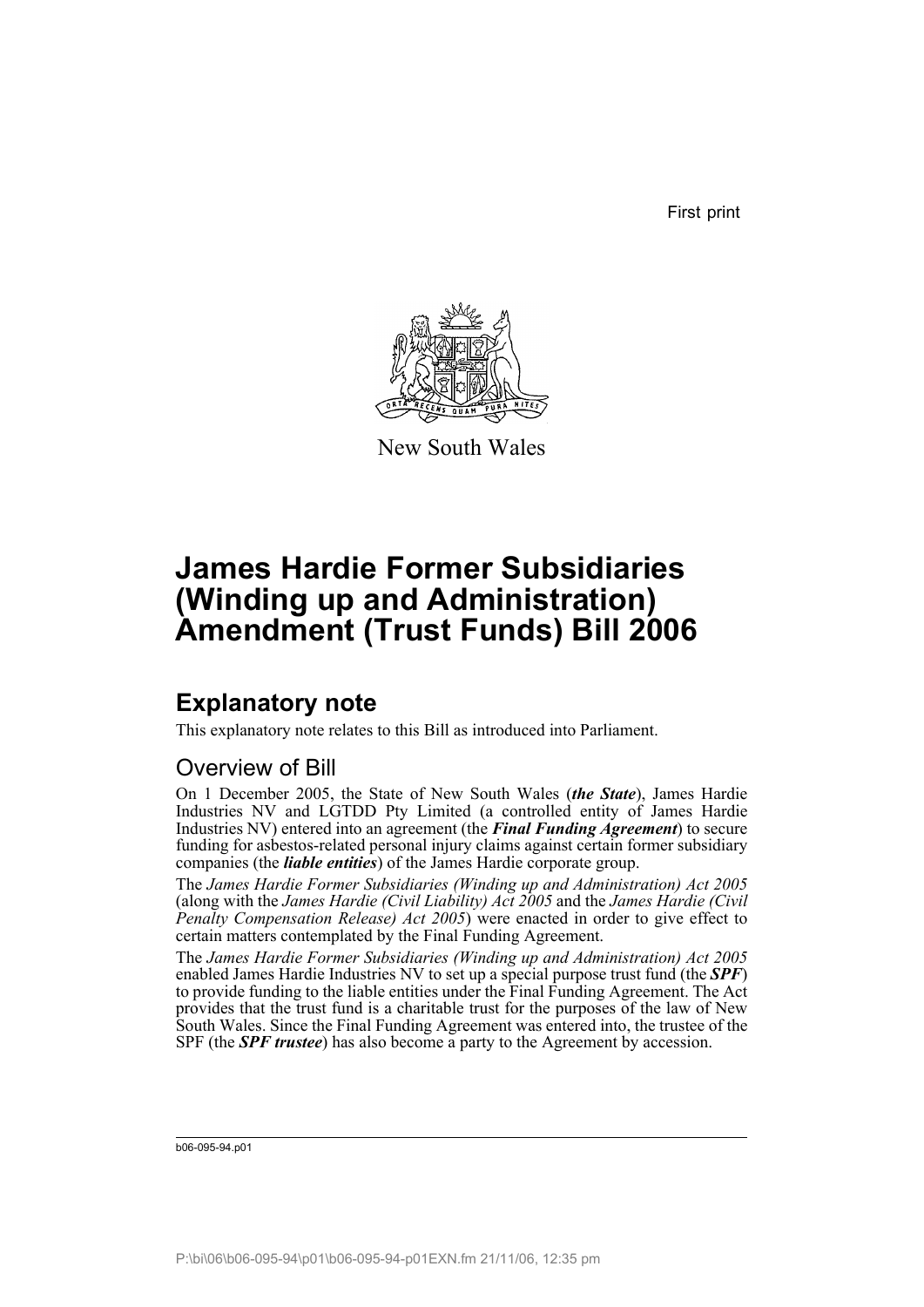First print



New South Wales

# **James Hardie Former Subsidiaries (Winding up and Administration) Amendment (Trust Funds) Bill 2006**

# **Explanatory note**

This explanatory note relates to this Bill as introduced into Parliament.

## Overview of Bill

On 1 December 2005, the State of New South Wales (*the State*), James Hardie Industries NV and LGTDD Pty Limited (a controlled entity of James Hardie Industries NV) entered into an agreement (the *Final Funding Agreement*) to secure funding for asbestos-related personal injury claims against certain former subsidiary companies (the *liable entities*) of the James Hardie corporate group.

The *James Hardie Former Subsidiaries (Winding up and Administration) Act 2005* (along with the *James Hardie (Civil Liability) Act 2005* and the *James Hardie (Civil Penalty Compensation Release) Act 2005*) were enacted in order to give effect to certain matters contemplated by the Final Funding Agreement.

The *James Hardie Former Subsidiaries (Winding up and Administration) Act 2005* enabled James Hardie Industries NV to set up a special purpose trust fund (the *SPF*) to provide funding to the liable entities under the Final Funding Agreement. The Act provides that the trust fund is a charitable trust for the purposes of the law of New South Wales. Since the Final Funding Agreement was entered into, the trustee of the SPF (the *SPF trustee*) has also become a party to the Agreement by accession.

b06-095-94.p01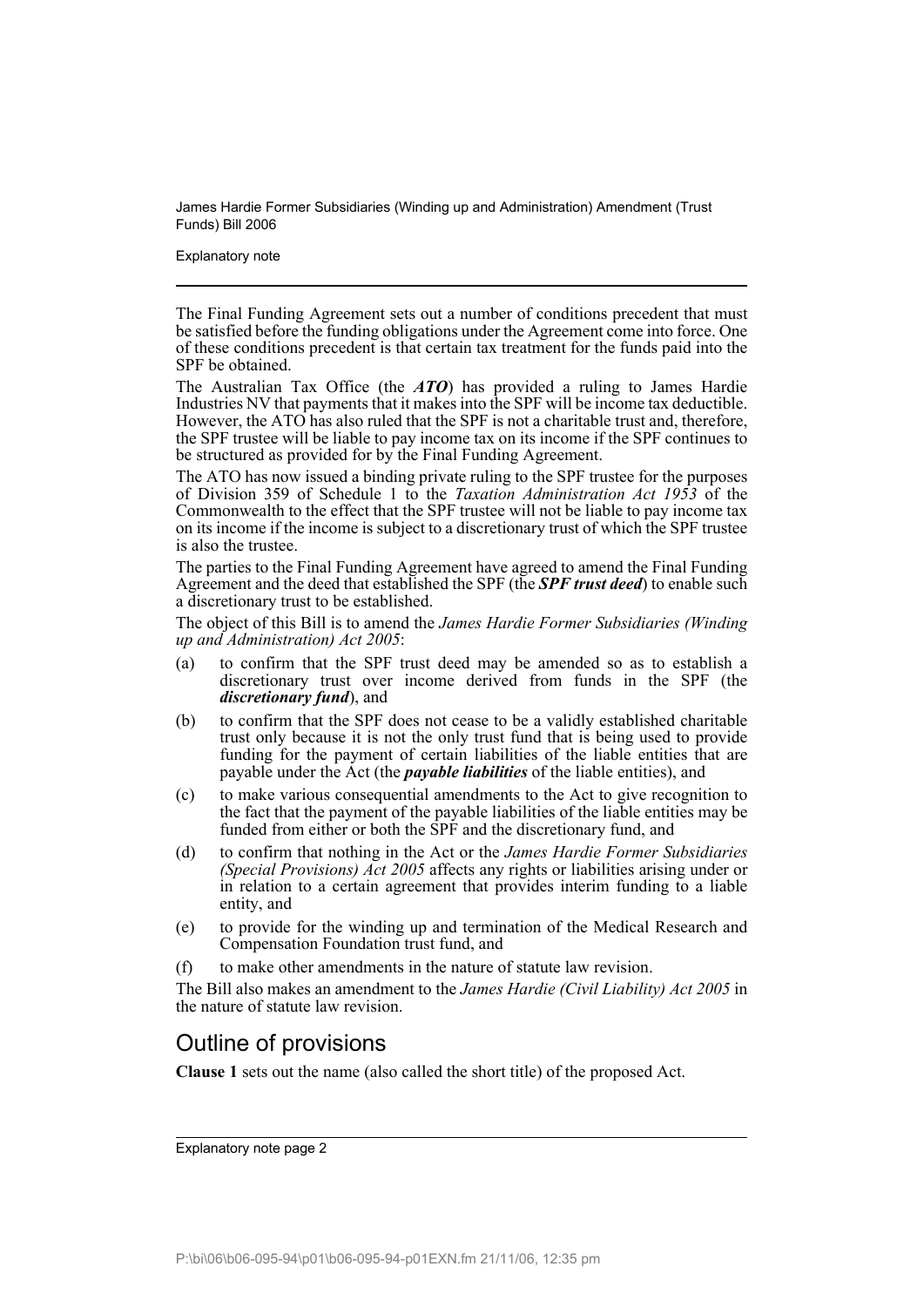Explanatory note

The Final Funding Agreement sets out a number of conditions precedent that must be satisfied before the funding obligations under the Agreement come into force. One of these conditions precedent is that certain tax treatment for the funds paid into the SPF be obtained.

The Australian Tax Office (the *ATO*) has provided a ruling to James Hardie Industries NV that payments that it makes into the SPF will be income tax deductible. However, the ATO has also ruled that the SPF is not a charitable trust and, therefore, the SPF trustee will be liable to pay income tax on its income if the SPF continues to be structured as provided for by the Final Funding Agreement.

The ATO has now issued a binding private ruling to the SPF trustee for the purposes of Division 359 of Schedule 1 to the *Taxation Administration Act 1953* of the Commonwealth to the effect that the SPF trustee will not be liable to pay income tax on its income if the income is subject to a discretionary trust of which the SPF trustee is also the trustee.

The parties to the Final Funding Agreement have agreed to amend the Final Funding Agreement and the deed that established the SPF (the *SPF trust deed*) to enable such a discretionary trust to be established.

The object of this Bill is to amend the *James Hardie Former Subsidiaries (Winding up and Administration) Act 2005*:

- (a) to confirm that the SPF trust deed may be amended so as to establish a discretionary trust over income derived from funds in the SPF (the *discretionary fund*), and
- (b) to confirm that the SPF does not cease to be a validly established charitable trust only because it is not the only trust fund that is being used to provide funding for the payment of certain liabilities of the liable entities that are payable under the Act (the *payable liabilities* of the liable entities), and
- (c) to make various consequential amendments to the Act to give recognition to the fact that the payment of the payable liabilities of the liable entities may be funded from either or both the SPF and the discretionary fund, and
- (d) to confirm that nothing in the Act or the *James Hardie Former Subsidiaries (Special Provisions) Act 2005* affects any rights or liabilities arising under or in relation to a certain agreement that provides interim funding to a liable entity, and
- (e) to provide for the winding up and termination of the Medical Research and Compensation Foundation trust fund, and
- (f) to make other amendments in the nature of statute law revision.

The Bill also makes an amendment to the *James Hardie (Civil Liability) Act 2005* in the nature of statute law revision.

## Outline of provisions

**Clause 1** sets out the name (also called the short title) of the proposed Act.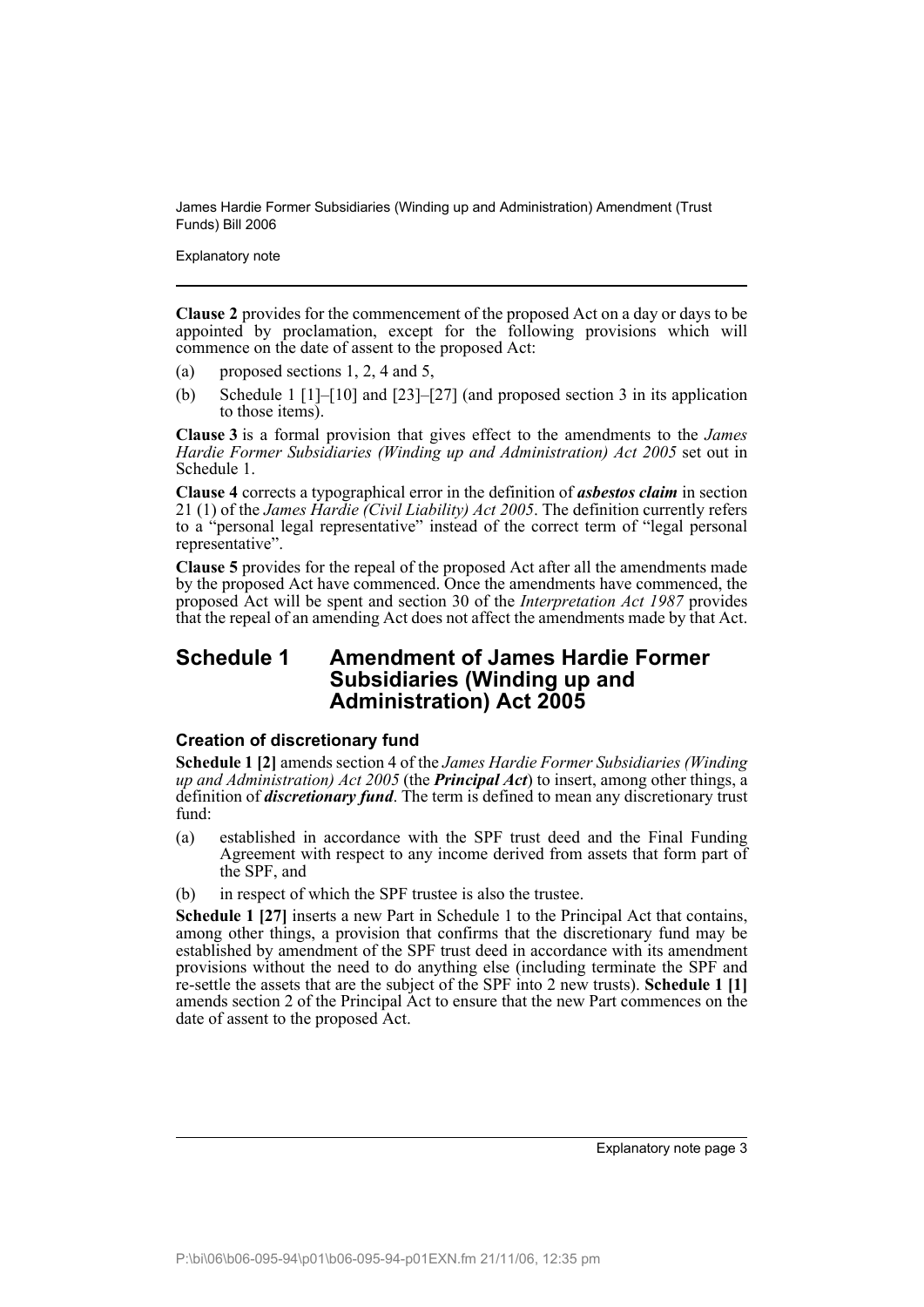Explanatory note

**Clause 2** provides for the commencement of the proposed Act on a day or days to be appointed by proclamation, except for the following provisions which will commence on the date of assent to the proposed Act:

- (a) proposed sections 1, 2, 4 and 5,
- (b) Schedule 1 [1]–[10] and [23]–[27] (and proposed section 3 in its application to those items).

**Clause 3** is a formal provision that gives effect to the amendments to the *James Hardie Former Subsidiaries (Winding up and Administration) Act 2005* set out in Schedule 1.

**Clause 4** corrects a typographical error in the definition of *asbestos claim* in section 21 (1) of the *James Hardie (Civil Liability) Act 2005*. The definition currently refers to a "personal legal representative" instead of the correct term of "legal personal representative".

**Clause 5** provides for the repeal of the proposed Act after all the amendments made by the proposed Act have commenced. Once the amendments have commenced, the proposed Act will be spent and section 30 of the *Interpretation Act 1987* provides that the repeal of an amending Act does not affect the amendments made by that Act.

### **Schedule 1 Amendment of James Hardie Former Subsidiaries (Winding up and Administration) Act 2005**

### **Creation of discretionary fund**

**Schedule 1 [2]** amends section 4 of the *James Hardie Former Subsidiaries (Winding up and Administration) Act 2005* (the *Principal Act*) to insert, among other things, a definition of *discretionary fund*. The term is defined to mean any discretionary trust fund:

- (a) established in accordance with the SPF trust deed and the Final Funding Agreement with respect to any income derived from assets that form part of the SPF, and
- (b) in respect of which the SPF trustee is also the trustee.

**Schedule 1 [27]** inserts a new Part in Schedule 1 to the Principal Act that contains, among other things, a provision that confirms that the discretionary fund may be established by amendment of the SPF trust deed in accordance with its amendment provisions without the need to do anything else (including terminate the SPF and re-settle the assets that are the subject of the SPF into 2 new trusts). **Schedule 1 [1]** amends section 2 of the Principal Act to ensure that the new Part commences on the date of assent to the proposed Act.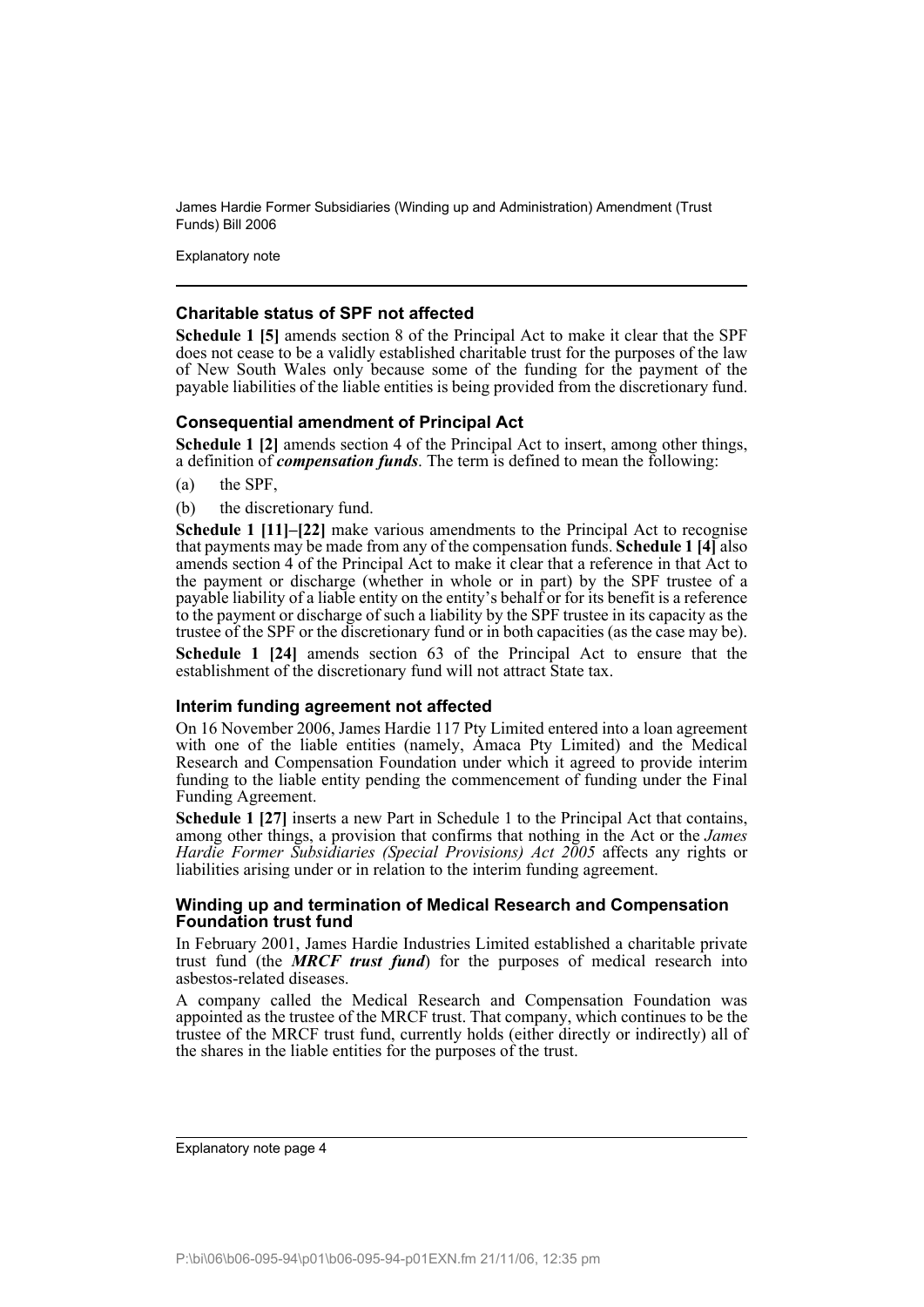Explanatory note

### **Charitable status of SPF not affected**

**Schedule 1 [5]** amends section 8 of the Principal Act to make it clear that the SPF does not cease to be a validly established charitable trust for the purposes of the law of New South Wales only because some of the funding for the payment of the payable liabilities of the liable entities is being provided from the discretionary fund.

### **Consequential amendment of Principal Act**

**Schedule 1 [2]** amends section 4 of the Principal Act to insert, among other things, a definition of *compensation funds*. The term is defined to mean the following:

(a) the SPF,

(b) the discretionary fund.

**Schedule 1 [11]–[22]** make various amendments to the Principal Act to recognise that payments may be made from any of the compensation funds. **Schedule 1 [4]** also amends section 4 of the Principal Act to make it clear that a reference in that Act to the payment or discharge (whether in whole or in part) by the SPF trustee of a payable liability of a liable entity on the entity's behalf or for its benefit is a reference to the payment or discharge of such a liability by the SPF trustee in its capacity as the trustee of the SPF or the discretionary fund or in both capacities (as the case may be).

**Schedule 1 [24]** amends section 63 of the Principal Act to ensure that the establishment of the discretionary fund will not attract State tax.

### **Interim funding agreement not affected**

On 16 November 2006, James Hardie 117 Pty Limited entered into a loan agreement with one of the liable entities (namely, Amaca Pty Limited) and the Medical Research and Compensation Foundation under which it agreed to provide interim funding to the liable entity pending the commencement of funding under the Final Funding Agreement.

**Schedule 1 [27]** inserts a new Part in Schedule 1 to the Principal Act that contains, among other things, a provision that confirms that nothing in the Act or the *James Hardie Former Subsidiaries (Special Provisions) Act 2005* affects any rights or liabilities arising under or in relation to the interim funding agreement.

### **Winding up and termination of Medical Research and Compensation Foundation trust fund**

In February 2001, James Hardie Industries Limited established a charitable private trust fund (the *MRCF trust fund*) for the purposes of medical research into asbestos-related diseases.

A company called the Medical Research and Compensation Foundation was appointed as the trustee of the MRCF trust. That company, which continues to be the trustee of the MRCF trust fund, currently holds (either directly or indirectly) all of the shares in the liable entities for the purposes of the trust.

Explanatory note page 4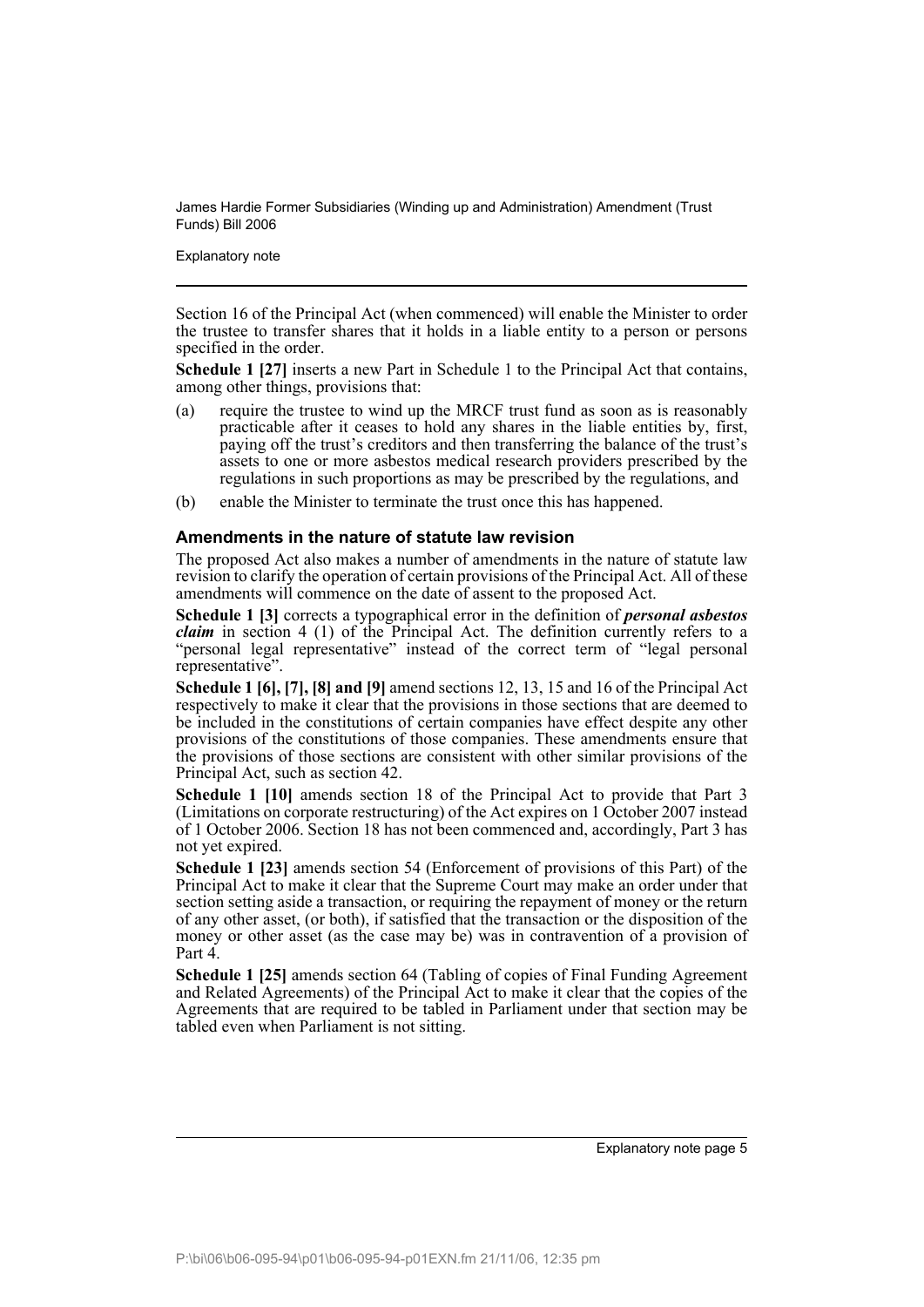Explanatory note

Section 16 of the Principal Act (when commenced) will enable the Minister to order the trustee to transfer shares that it holds in a liable entity to a person or persons specified in the order.

**Schedule 1 [27]** inserts a new Part in Schedule 1 to the Principal Act that contains, among other things, provisions that:

- (a) require the trustee to wind up the MRCF trust fund as soon as is reasonably practicable after it ceases to hold any shares in the liable entities by, first, paying off the trust's creditors and then transferring the balance of the trust's assets to one or more asbestos medical research providers prescribed by the regulations in such proportions as may be prescribed by the regulations, and
- (b) enable the Minister to terminate the trust once this has happened.

### **Amendments in the nature of statute law revision**

The proposed Act also makes a number of amendments in the nature of statute law revision to clarify the operation of certain provisions of the Principal Act. All of these amendments will commence on the date of assent to the proposed Act.

**Schedule 1 [3]** corrects a typographical error in the definition of *personal asbestos claim* in section 4 (1) of the Principal Act. The definition currently refers to a "personal legal representative" instead of the correct term of "legal personal representative".

**Schedule 1 [6], [7], [8] and [9]** amend sections 12, 13, 15 and 16 of the Principal Act respectively to make it clear that the provisions in those sections that are deemed to be included in the constitutions of certain companies have effect despite any other provisions of the constitutions of those companies. These amendments ensure that the provisions of those sections are consistent with other similar provisions of the Principal Act, such as section 42.

**Schedule 1 [10]** amends section 18 of the Principal Act to provide that Part 3 (Limitations on corporate restructuring) of the Act expires on 1 October 2007 instead of 1 October 2006. Section 18 has not been commenced and, accordingly, Part 3 has not yet expired.

**Schedule 1 [23]** amends section 54 (Enforcement of provisions of this Part) of the Principal Act to make it clear that the Supreme Court may make an order under that section setting aside a transaction, or requiring the repayment of money or the return of any other asset, (or both), if satisfied that the transaction or the disposition of the money or other asset (as the case may be) was in contravention of a provision of Part 4.

**Schedule 1 [25]** amends section 64 (Tabling of copies of Final Funding Agreement and Related Agreements) of the Principal Act to make it clear that the copies of the Agreements that are required to be tabled in Parliament under that section may be tabled even when Parliament is not sitting.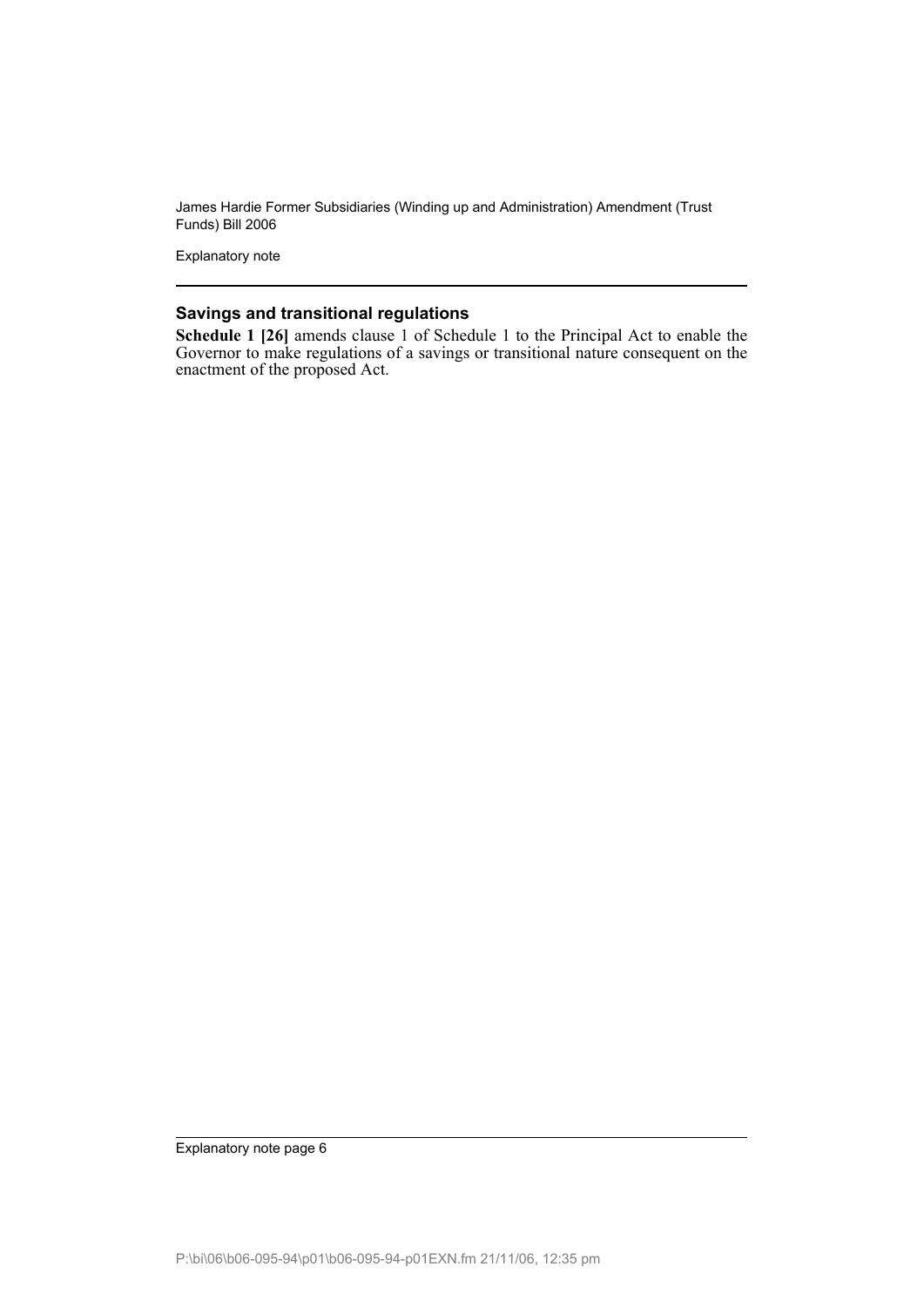Explanatory note

### **Savings and transitional regulations**

**Schedule 1 [26]** amends clause 1 of Schedule 1 to the Principal Act to enable the Governor to make regulations of a savings or transitional nature consequent on the enactment of the proposed Act.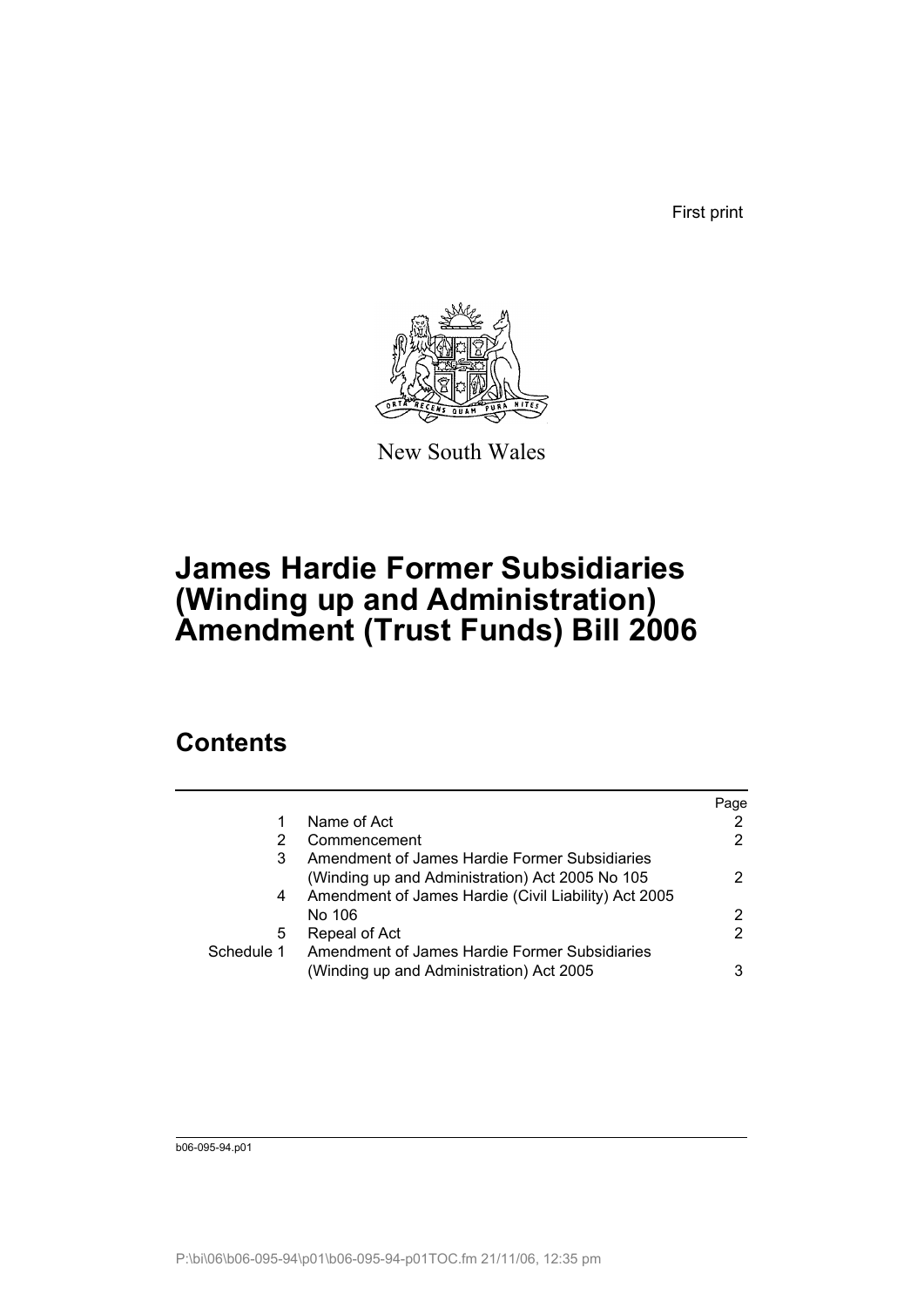First print



New South Wales

# **James Hardie Former Subsidiaries (Winding up and Administration) Amendment (Trust Funds) Bill 2006**

# **Contents**

|            |                                                                                                  | Page |
|------------|--------------------------------------------------------------------------------------------------|------|
|            | Name of Act                                                                                      |      |
| 2          | Commencement                                                                                     | 2    |
| 3          | Amendment of James Hardie Former Subsidiaries<br>(Winding up and Administration) Act 2005 No 105 | 2.   |
| 4          | Amendment of James Hardie (Civil Liability) Act 2005<br>No 106                                   | 2    |
| 5.         | Repeal of Act                                                                                    | 2    |
| Schedule 1 | Amendment of James Hardie Former Subsidiaries<br>(Winding up and Administration) Act 2005        | 3    |

b06-095-94.p01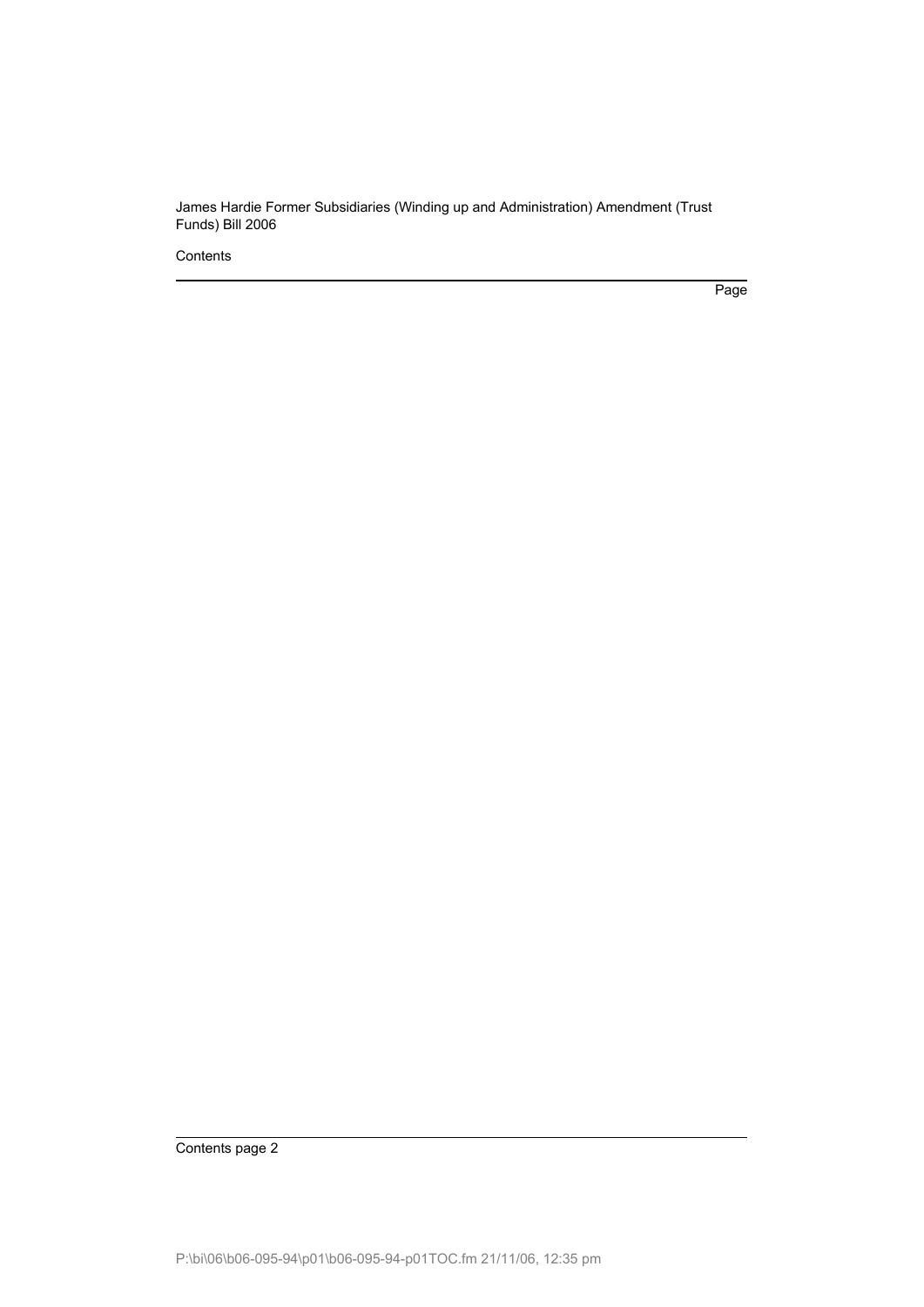**Contents** 

Page

Contents page 2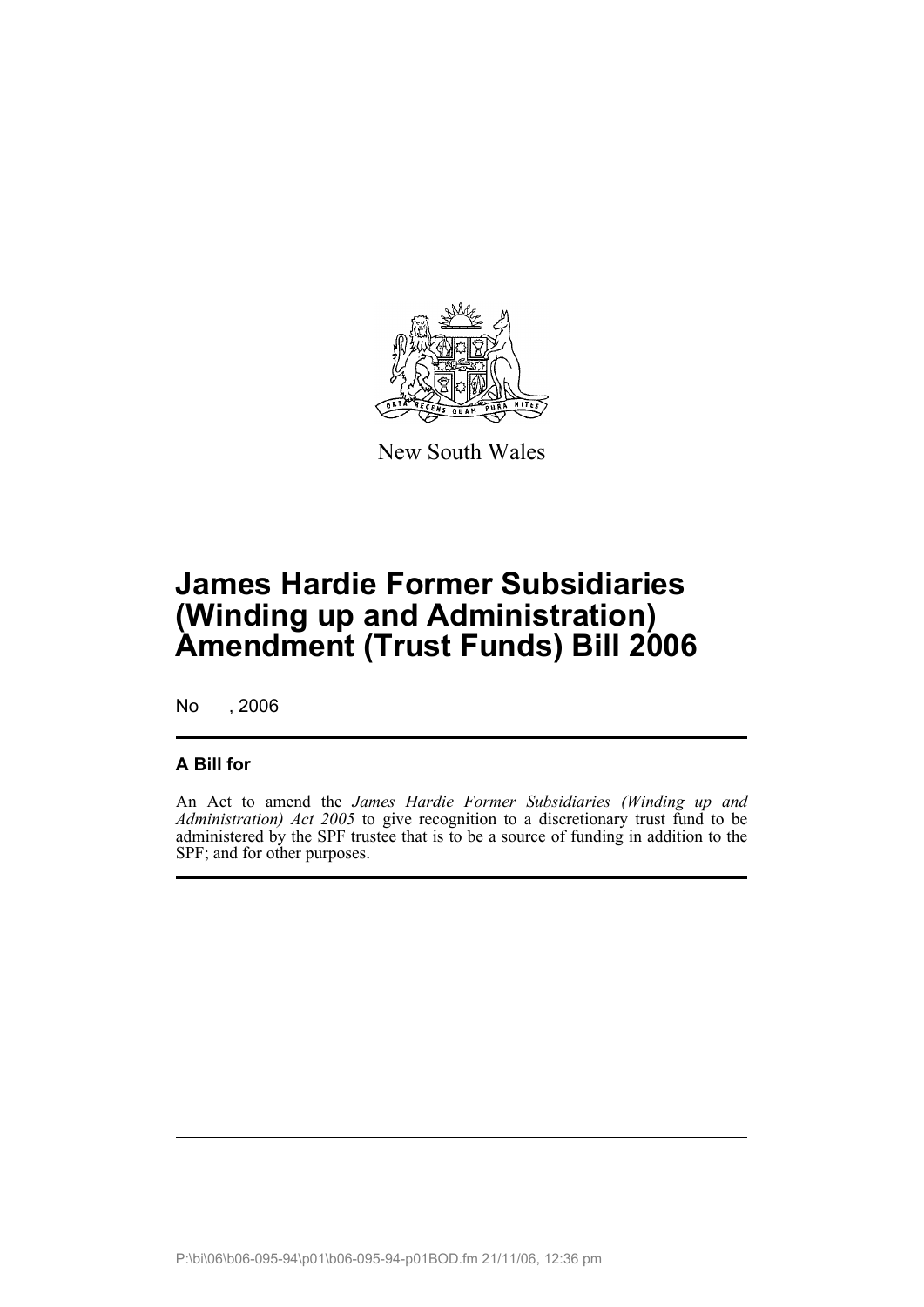

New South Wales

# **James Hardie Former Subsidiaries (Winding up and Administration) Amendment (Trust Funds) Bill 2006**

No , 2006

### **A Bill for**

An Act to amend the *James Hardie Former Subsidiaries (Winding up and Administration) Act 2005* to give recognition to a discretionary trust fund to be administered by the SPF trustee that is to be a source of funding in addition to the SPF; and for other purposes.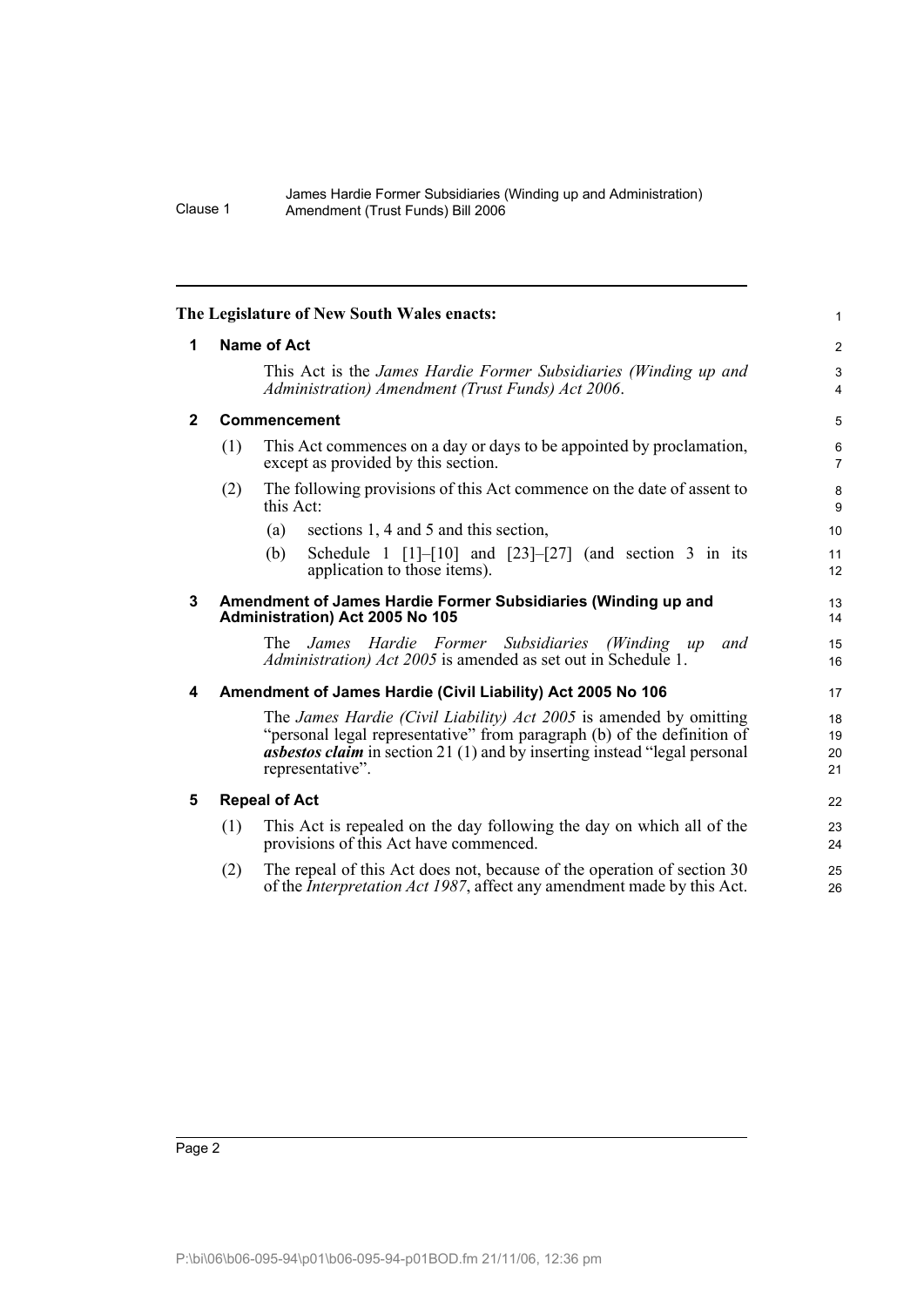<span id="page-9-4"></span><span id="page-9-3"></span><span id="page-9-2"></span><span id="page-9-1"></span><span id="page-9-0"></span>

|              |                      | The Legislature of New South Wales enacts:                                                                                                                                                                                                              | $\mathbf{1}$         |
|--------------|----------------------|---------------------------------------------------------------------------------------------------------------------------------------------------------------------------------------------------------------------------------------------------------|----------------------|
| 1            |                      | <b>Name of Act</b>                                                                                                                                                                                                                                      | $\overline{2}$       |
|              |                      | This Act is the James Hardie Former Subsidiaries (Winding up and<br>Administration) Amendment (Trust Funds) Act 2006.                                                                                                                                   | 3<br>$\overline{4}$  |
| $\mathbf{2}$ |                      | <b>Commencement</b>                                                                                                                                                                                                                                     | 5                    |
|              | (1)                  | This Act commences on a day or days to be appointed by proclamation,<br>except as provided by this section.                                                                                                                                             | 6<br>$\overline{7}$  |
|              | (2)                  | The following provisions of this Act commence on the date of assent to<br>this Act:                                                                                                                                                                     | 8<br>9               |
|              |                      | (a)<br>sections 1, 4 and 5 and this section,                                                                                                                                                                                                            | 10                   |
|              |                      | Schedule 1 $[1]$ - $[10]$ and $[23]$ - $[27]$ (and section 3 in its<br>(b)<br>application to those items).                                                                                                                                              | 11<br>12             |
| 3            |                      | Amendment of James Hardie Former Subsidiaries (Winding up and<br>Administration) Act 2005 No 105                                                                                                                                                        | 13<br>14             |
|              |                      | The James Hardie Former Subsidiaries (Winding up<br>and<br><i>Administration) Act 2005</i> is amended as set out in Schedule 1.                                                                                                                         | 15<br>16             |
| 4            |                      | Amendment of James Hardie (Civil Liability) Act 2005 No 106                                                                                                                                                                                             | 17                   |
|              |                      | The James Hardie (Civil Liability) Act 2005 is amended by omitting<br>"personal legal representative" from paragraph (b) of the definition of<br><i>asbestos claim</i> in section 21 $(1)$ and by inserting instead "legal personal<br>representative". | 18<br>19<br>20<br>21 |
| 5            | <b>Repeal of Act</b> |                                                                                                                                                                                                                                                         | 22                   |
|              | (1)                  | This Act is repealed on the day following the day on which all of the<br>provisions of this Act have commenced.                                                                                                                                         | 23<br>24             |
|              | (2)                  | The repeal of this Act does not, because of the operation of section 30<br>of the <i>Interpretation Act 1987</i> , affect any amendment made by this Act.                                                                                               | 25<br>26             |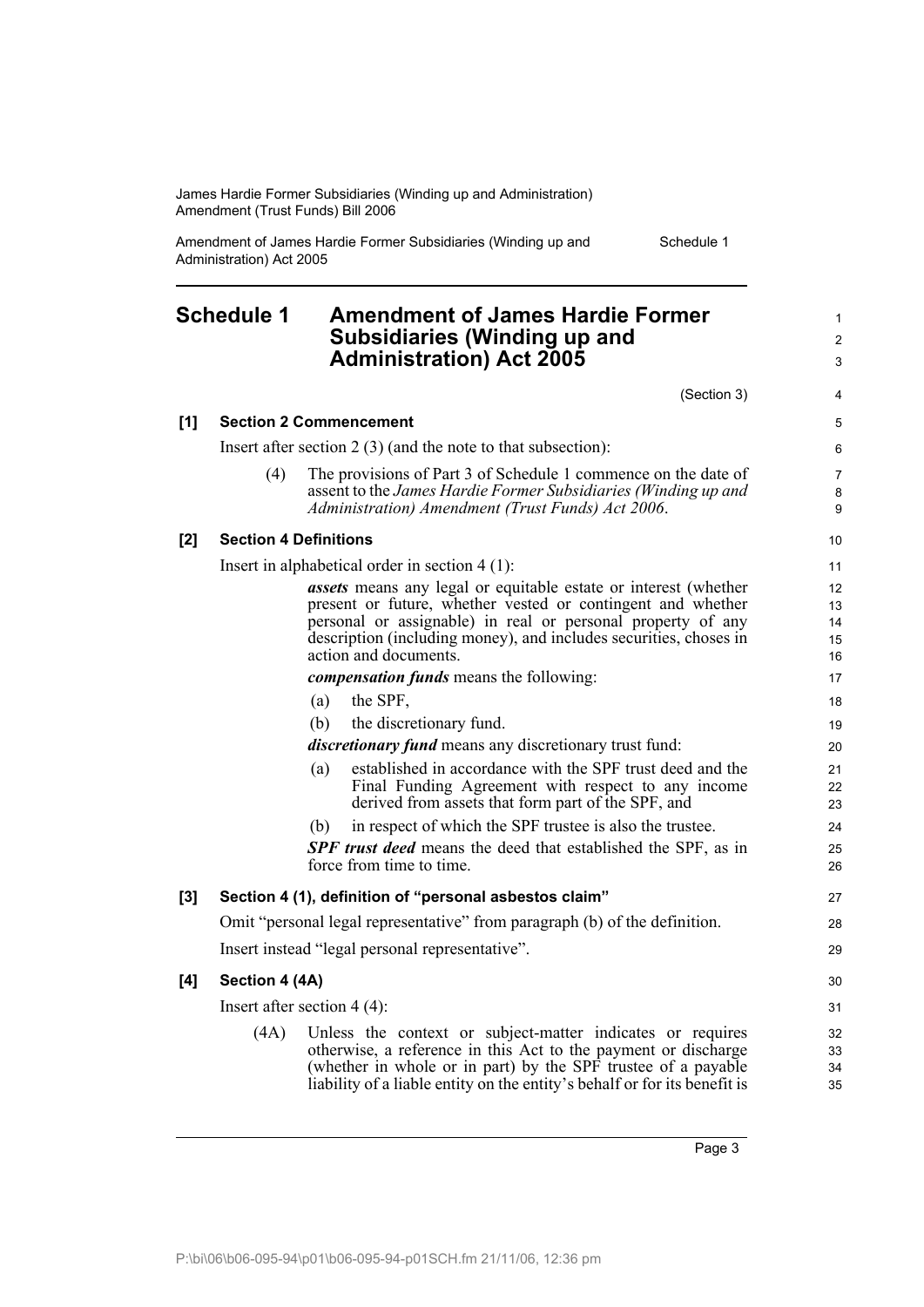Amendment of James Hardie Former Subsidiaries (Winding up and Administration) Act 2005

### <span id="page-10-0"></span>**Schedule 1 Amendment of James Hardie Former Subsidiaries (Winding up and Administration) Act 2005**

(Section 3) **[1] Section 2 Commencement** Insert after section 2 (3) (and the note to that subsection): The provisions of Part 3 of Schedule 1 commence on the date of assent to the *James Hardie Former Subsidiaries (Winding up and Administration) Amendment (Trust Funds) Act 2006*. **[2] Section 4 Definitions** Insert in alphabetical order in section 4 (1): *assets* means any legal or equitable estate or interest (whether present or future, whether vested or contingent and whether personal or assignable) in real or personal property of any description (including money), and includes securities, choses in action and documents. *compensation funds* means the following: (a) the SPF, (b) the discretionary fund. *discretionary fund* means any discretionary trust fund: (a) established in accordance with the SPF trust deed and the Final Funding Agreement with respect to any income derived from assets that form part of the SPF, and (b) in respect of which the SPF trustee is also the trustee. *SPF trust deed* means the deed that established the SPF, as in force from time to time. **[3] Section 4 (1), definition of "personal asbestos claim"** Omit "personal legal representative" from paragraph (b) of the definition. Insert instead "legal personal representative". **[4] Section 4 (4A)** Insert after section 4 (4): (4A) Unless the context or subject-matter indicates or requires otherwise, a reference in this Act to the payment or discharge (whether in whole or in part) by the SPF trustee of a payable liability of a liable entity on the entity's behalf or for its benefit is 3 4 5 6 7 8 9 10 11 12 13 14 15 16 17 18 19 20 21 22 23 24 25 26 27 28 29 30 31  $32$ 33 34 35

Page 3

Schedule 1

1  $\mathfrak{p}$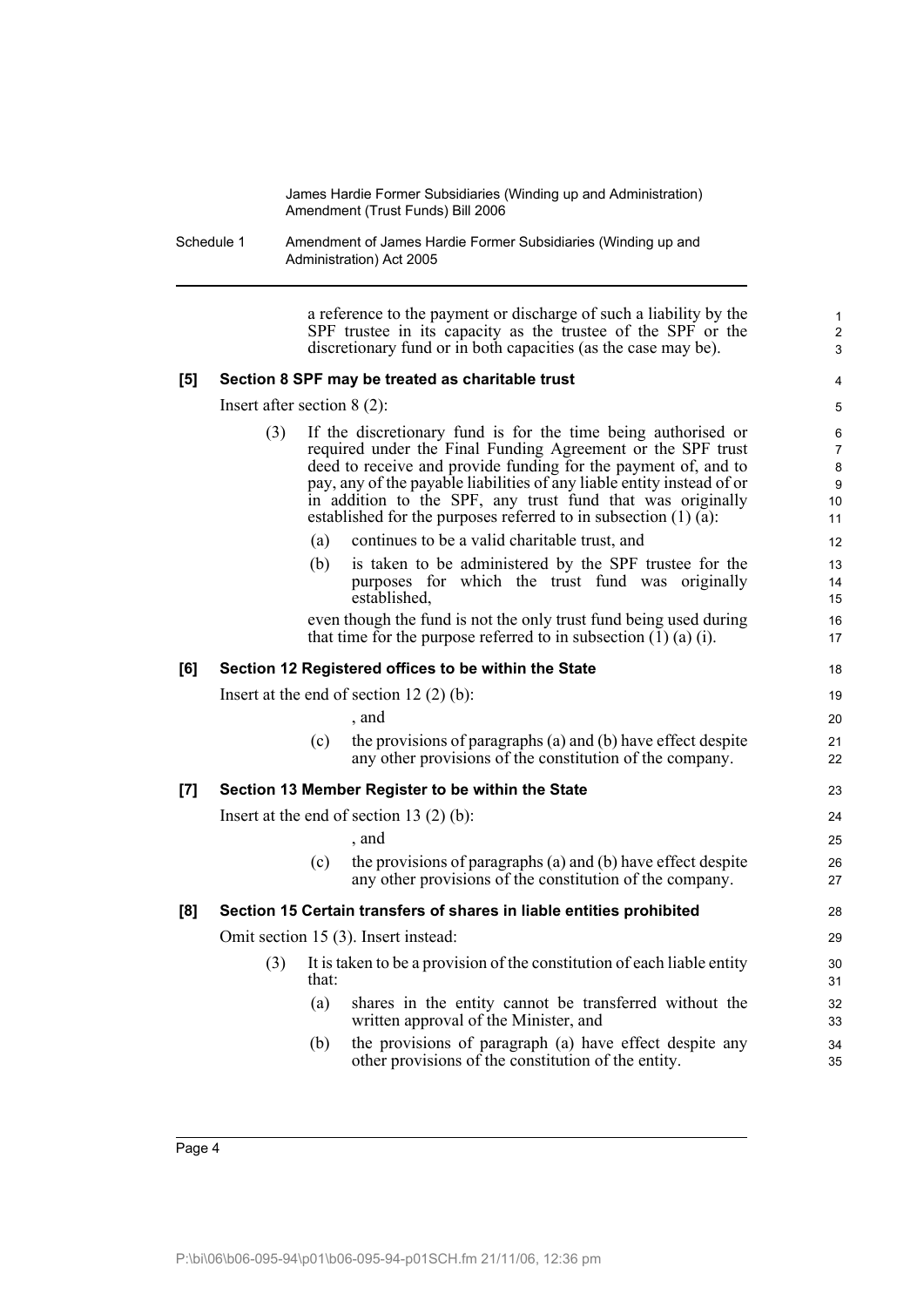> 1  $\overline{2}$ 3

26 27

Schedule 1 Amendment of James Hardie Former Subsidiaries (Winding up and Administration) Act 2005

a reference to the payment or discharge of such a liability by the SPF trustee in its capacity as the trustee of the SPF or the discretionary fund or in both capacities (as the case may be). **[5] Section 8 SPF may be treated as charitable trust** Insert after section 8 (2): (3) If the discretionary fund is for the time being authorised or required under the Final Funding Agreement or the SPF trust deed to receive and provide funding for the payment of, and to pay, any of the payable liabilities of any liable entity instead of or in addition to the SPF, any trust fund that was originally established for the purposes referred to in subsection (1) (a): (a) continues to be a valid charitable trust, and (b) is taken to be administered by the SPF trustee for the purposes for which the trust fund was originally established, even though the fund is not the only trust fund being used during that time for the purpose referred to in subsection  $(1)$  (a) (i). **[6] Section 12 Registered offices to be within the State** Insert at the end of section 12 (2) (b): , and (c) the provisions of paragraphs (a) and (b) have effect despite any other provisions of the constitution of the company. **[7] Section 13 Member Register to be within the State** Insert at the end of section 13 (2) (b): , and (c) the provisions of paragraphs (a) and (b) have effect despite any other provisions of the constitution of the company. **[8] Section 15 Certain transfers of shares in liable entities prohibited** Omit section 15 (3). Insert instead: (3) It is taken to be a provision of the constitution of each liable entity that:  $25$ 

- (a) shares in the entity cannot be transferred without the written approval of the Minister, and
- (b) the provisions of paragraph (a) have effect despite any other provisions of the constitution of the entity.

Page 4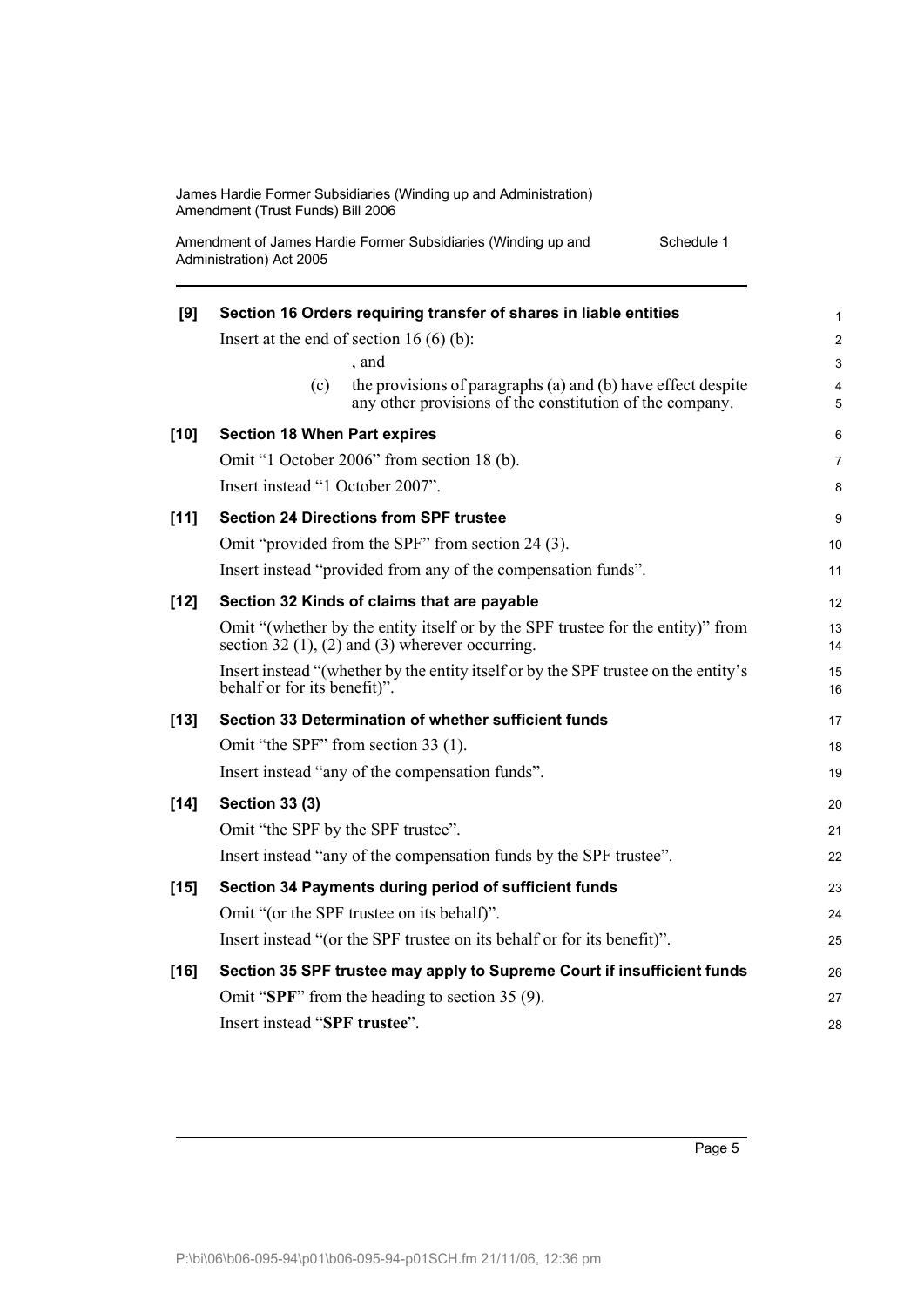Amendment of James Hardie Former Subsidiaries (Winding up and Administration) Act 2005 Schedule 1

| [9]    | Section 16 Orders requiring transfer of shares in liable entities                                                                  | $\mathbf{1}$   |
|--------|------------------------------------------------------------------------------------------------------------------------------------|----------------|
|        | Insert at the end of section 16 $(6)$ $(b)$ :                                                                                      | $\overline{c}$ |
|        | , and                                                                                                                              | $\mathsf 3$    |
|        | the provisions of paragraphs (a) and (b) have effect despite<br>(c)<br>any other provisions of the constitution of the company.    | 4<br>5         |
| $[10]$ | <b>Section 18 When Part expires</b>                                                                                                | 6              |
|        | Omit "1 October 2006" from section 18 (b).                                                                                         | 7              |
|        | Insert instead "1 October 2007".                                                                                                   | 8              |
| $[11]$ | <b>Section 24 Directions from SPF trustee</b>                                                                                      | 9              |
|        | Omit "provided from the SPF" from section 24 (3).                                                                                  | 10             |
|        | Insert instead "provided from any of the compensation funds".                                                                      | 11             |
| $[12]$ | Section 32 Kinds of claims that are payable                                                                                        | 12             |
|        | Omit "(whether by the entity itself or by the SPF trustee for the entity)" from<br>section 32 (1), (2) and (3) wherever occurring. | 13<br>14       |
|        | Insert instead "(whether by the entity itself or by the SPF trustee on the entity's<br>behalf or for its benefit)".                | 15<br>16       |
| $[13]$ | Section 33 Determination of whether sufficient funds                                                                               | 17             |
|        | Omit "the SPF" from section 33 (1).                                                                                                | 18             |
|        | Insert instead "any of the compensation funds".                                                                                    | 19             |
| $[14]$ | <b>Section 33 (3)</b>                                                                                                              | 20             |
|        | Omit "the SPF by the SPF trustee".                                                                                                 | 21             |
|        | Insert instead "any of the compensation funds by the SPF trustee".                                                                 | 22             |
| $[15]$ | Section 34 Payments during period of sufficient funds                                                                              | 23             |
|        | Omit "(or the SPF trustee on its behalf)".                                                                                         | 24             |
|        | Insert instead "(or the SPF trustee on its behalf or for its benefit)".                                                            | 25             |
| $[16]$ | Section 35 SPF trustee may apply to Supreme Court if insufficient funds                                                            | 26             |
|        | Omit "SPF" from the heading to section 35 (9).                                                                                     | 27             |
|        | Insert instead "SPF trustee".                                                                                                      | 28             |

Page 5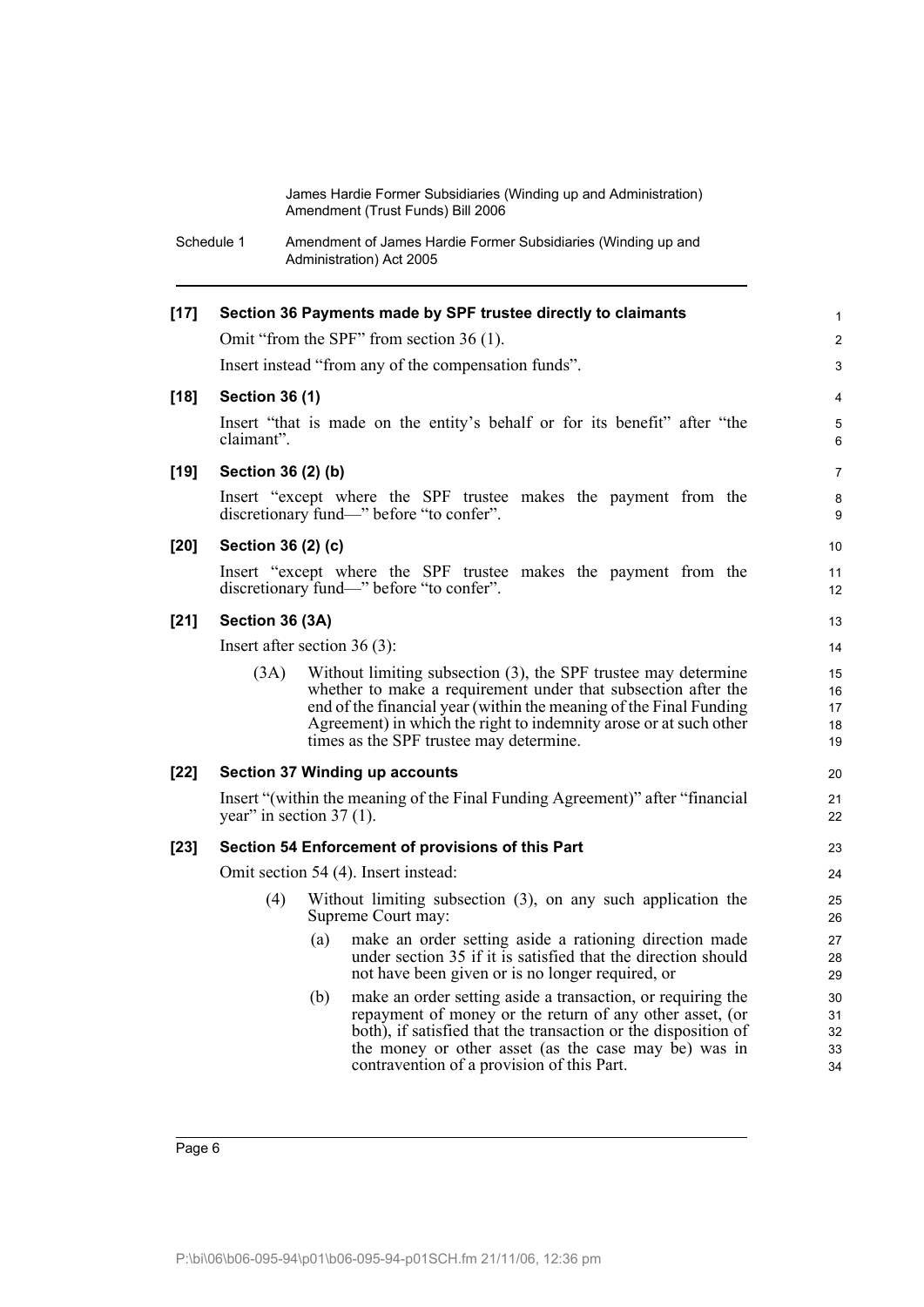Schedule 1 Amendment of James Hardie Former Subsidiaries (Winding up and Administration) Act 2005

| $[17]$ |                                      | Section 36 Payments made by SPF trustee directly to claimants                                                                                                                                                                                                                                                         | 1                          |
|--------|--------------------------------------|-----------------------------------------------------------------------------------------------------------------------------------------------------------------------------------------------------------------------------------------------------------------------------------------------------------------------|----------------------------|
|        |                                      | Omit "from the SPF" from section 36 (1).                                                                                                                                                                                                                                                                              | $\overline{2}$             |
|        |                                      | Insert instead "from any of the compensation funds".                                                                                                                                                                                                                                                                  | 3                          |
| $[18]$ | <b>Section 36 (1)</b>                |                                                                                                                                                                                                                                                                                                                       | 4                          |
|        | claimant".                           | Insert "that is made on the entity's behalf or for its benefit" after "the                                                                                                                                                                                                                                            | 5<br>6                     |
| $[19]$ | Section 36 (2) (b)                   |                                                                                                                                                                                                                                                                                                                       | 7                          |
|        |                                      | Insert "except where the SPF trustee makes the payment from the<br>discretionary fund—" before "to confer".                                                                                                                                                                                                           | 8<br>9                     |
| $[20]$ | Section 36 (2) (c)                   |                                                                                                                                                                                                                                                                                                                       | 10                         |
|        |                                      | Insert "except where the SPF trustee makes the payment from the<br>discretionary fund—" before "to confer".                                                                                                                                                                                                           | 11<br>12                   |
| $[21]$ | Section 36 (3A)                      |                                                                                                                                                                                                                                                                                                                       | 13                         |
|        |                                      | Insert after section $36(3)$ :                                                                                                                                                                                                                                                                                        | 14                         |
|        | (3A)                                 | Without limiting subsection (3), the SPF trustee may determine<br>whether to make a requirement under that subsection after the<br>end of the financial year (within the meaning of the Final Funding<br>Agreement) in which the right to indemnity arose or at such other<br>times as the SPF trustee may determine. | 15<br>16<br>17<br>18<br>19 |
| $[22]$ |                                      | <b>Section 37 Winding up accounts</b>                                                                                                                                                                                                                                                                                 | 20                         |
|        |                                      | Insert "(within the meaning of the Final Funding Agreement)" after "financial"<br>year" in section $37(1)$ .                                                                                                                                                                                                          | 21<br>22                   |
| $[23]$ |                                      | Section 54 Enforcement of provisions of this Part                                                                                                                                                                                                                                                                     | 23                         |
|        | Omit section 54 (4). Insert instead: |                                                                                                                                                                                                                                                                                                                       |                            |
|        | (4)                                  | Without limiting subsection $(3)$ , on any such application the<br>Supreme Court may:                                                                                                                                                                                                                                 | 25<br>26                   |
|        |                                      | make an order setting aside a rationing direction made<br>(a)<br>under section 35 if it is satisfied that the direction should<br>not have been given or is no longer required, or                                                                                                                                    | 27<br>28<br>29             |
|        |                                      | make an order setting aside a transaction, or requiring the<br>(b)<br>repayment of money or the return of any other asset, (or<br>both), if satisfied that the transaction or the disposition of<br>the money or other asset (as the case may be) was in<br>contravention of a provision of this Part.                | 30<br>31<br>32<br>33<br>34 |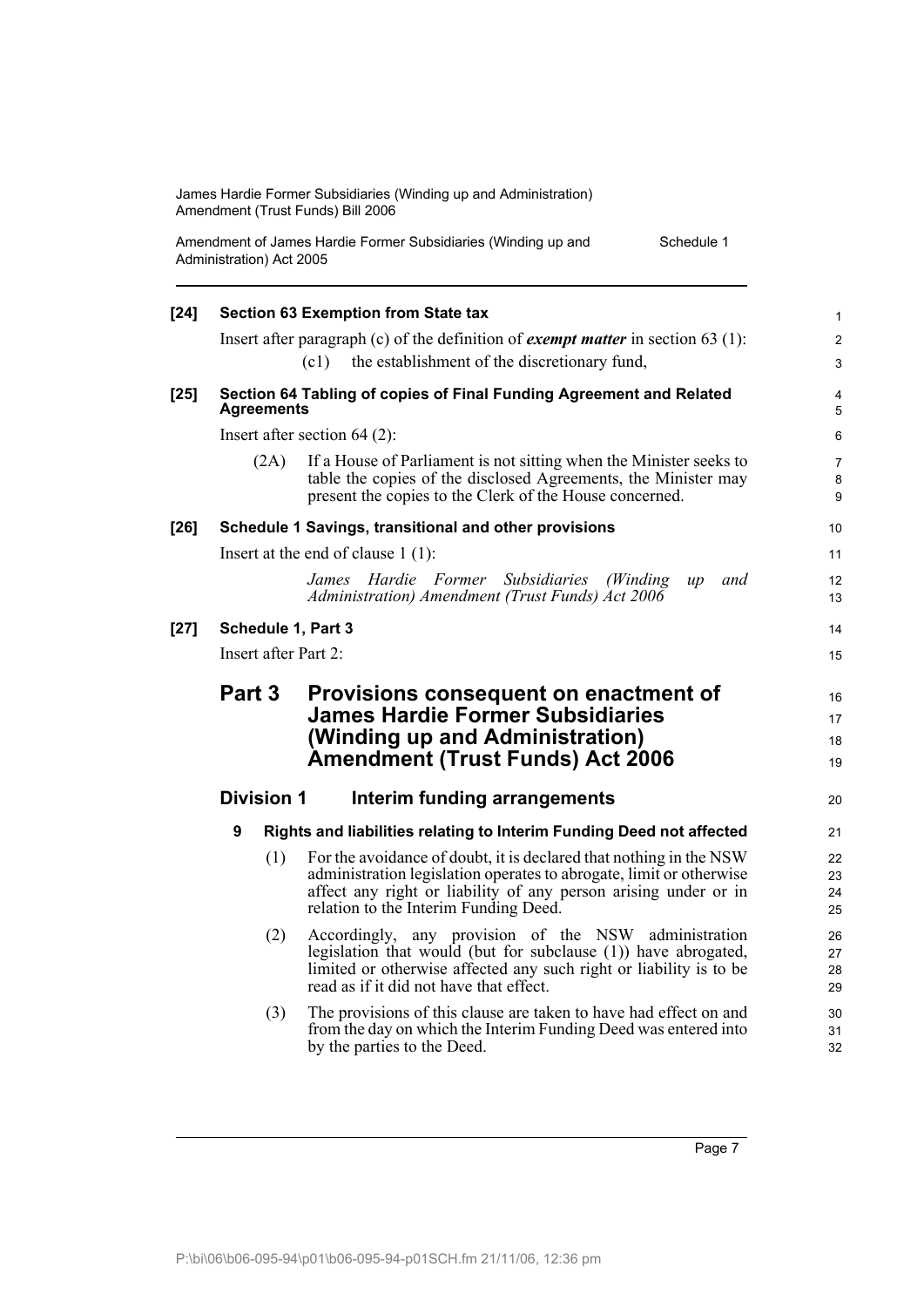| Amendment of James Hardie Former Subsidiaries (Winding up and | Schedule 1 |
|---------------------------------------------------------------|------------|
| Administration) Act 2005                                      |            |

| $[24]$ |                      | <b>Section 63 Exemption from State tax</b>                                                                                                                                                      | $\mathbf{1}$             |
|--------|----------------------|-------------------------------------------------------------------------------------------------------------------------------------------------------------------------------------------------|--------------------------|
|        |                      | Insert after paragraph (c) of the definition of <i>exempt matter</i> in section 63 (1):                                                                                                         | $\overline{2}$           |
|        |                      | the establishment of the discretionary fund,<br>(c1)                                                                                                                                            | 3                        |
| $[25]$ | <b>Agreements</b>    | Section 64 Tabling of copies of Final Funding Agreement and Related                                                                                                                             | 4<br>5                   |
|        |                      | Insert after section $64$ (2):                                                                                                                                                                  | 6                        |
|        | (2A)                 | If a House of Parliament is not sitting when the Minister seeks to<br>table the copies of the disclosed Agreements, the Minister may<br>present the copies to the Clerk of the House concerned. | $\overline{7}$<br>8<br>9 |
| $[26]$ |                      | Schedule 1 Savings, transitional and other provisions                                                                                                                                           | 10                       |
|        |                      | Insert at the end of clause $1(1)$ :                                                                                                                                                            | 11                       |
|        |                      | James Hardie Former Subsidiaries<br>(Winding)<br>and<br>$\mu$<br>Administration) Amendment (Trust Funds) Act 2006                                                                               | 12<br>13                 |
| $[27]$ | Schedule 1, Part 3   |                                                                                                                                                                                                 |                          |
|        | Insert after Part 2: |                                                                                                                                                                                                 |                          |
|        | Part 3               | Provisions consequent on enactment of                                                                                                                                                           | 16                       |
|        |                      | <b>James Hardie Former Subsidiaries</b>                                                                                                                                                         | 17                       |
|        |                      | (Winding up and Administration)                                                                                                                                                                 | 18                       |
|        |                      | <b>Amendment (Trust Funds) Act 2006</b>                                                                                                                                                         | 19                       |
|        | <b>Division 1</b>    |                                                                                                                                                                                                 |                          |
|        |                      | Interim funding arrangements                                                                                                                                                                    | 20                       |
|        | 9                    | Rights and liabilities relating to Interim Funding Deed not affected                                                                                                                            | 21                       |
|        | (1)                  | For the avoidance of doubt, it is declared that nothing in the NSW                                                                                                                              | 22                       |
|        |                      | administration legislation operates to abrogate, limit or otherwise                                                                                                                             | 23                       |
|        |                      | affect any right or liability of any person arising under or in<br>relation to the Interim Funding Deed.                                                                                        | 24<br>25                 |
|        |                      |                                                                                                                                                                                                 | 26                       |
|        | (2)                  | Accordingly, any provision of the NSW administration<br>legislation that would (but for subclause (1)) have abrogated,                                                                          | 27                       |
|        |                      | limited or otherwise affected any such right or liability is to be<br>read as if it did not have that effect.                                                                                   | 28<br>29                 |
|        | (3)                  | The provisions of this clause are taken to have had effect on and                                                                                                                               | 30                       |

Page 7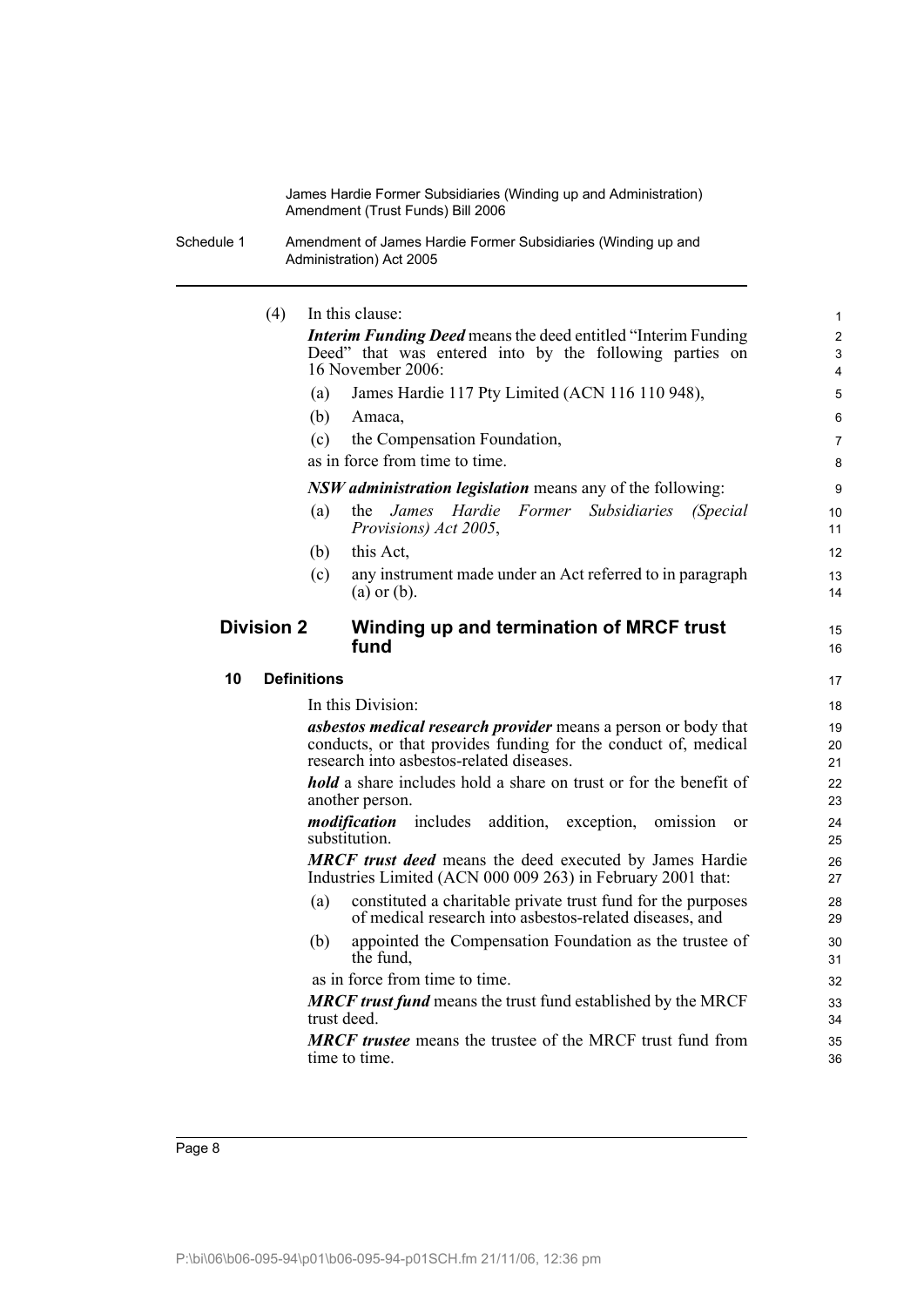Schedule 1 Amendment of James Hardie Former Subsidiaries (Winding up and Administration) Act 2005

|                   | (4) | In this clause:                                                                                                                | $\mathbf{1}$   |
|-------------------|-----|--------------------------------------------------------------------------------------------------------------------------------|----------------|
|                   |     | <b>Interim Funding Deed means the deed entitled "Interim Funding"</b>                                                          | $\overline{2}$ |
|                   |     | Deed" that was entered into by the following parties on                                                                        | 3              |
|                   |     | 16 November 2006:                                                                                                              | $\overline{4}$ |
|                   |     | James Hardie 117 Pty Limited (ACN 116 110 948),<br>(a)                                                                         | 5              |
|                   |     | (b)<br>Amaca,                                                                                                                  | 6              |
|                   |     | (c)<br>the Compensation Foundation,                                                                                            | $\overline{7}$ |
|                   |     | as in force from time to time.                                                                                                 | 8              |
|                   |     | <i>NSW administration legislation</i> means any of the following:                                                              | 9              |
|                   |     | the James Hardie<br><b>Subsidiaries</b><br>(a)<br>Former<br><i>(Special)</i><br>Provisions) Act 2005,                          | 10<br>11       |
|                   |     | this Act.<br>(b)                                                                                                               | 12             |
|                   |     | any instrument made under an Act referred to in paragraph<br>(c)                                                               | 13             |
|                   |     | $(a)$ or $(b)$ .                                                                                                               | 14             |
| <b>Division 2</b> |     | Winding up and termination of MRCF trust                                                                                       | 15             |
|                   |     | fund                                                                                                                           | 16             |
| 10                |     | <b>Definitions</b>                                                                                                             | 17             |
|                   |     | In this Division:                                                                                                              | 18             |
|                   |     | <i>asbestos medical research provider</i> means a person or body that                                                          | 19             |
|                   |     | conducts, or that provides funding for the conduct of, medical                                                                 | 20             |
|                   |     | research into asbestos-related diseases.                                                                                       | 21             |
|                   |     | <b>hold</b> a share includes hold a share on trust or for the benefit of<br>another person.                                    | 22<br>23       |
|                   |     | <i>modification</i> includes<br>addition,<br>exception,<br>omission<br><sub>or</sub><br>substitution.                          | 24<br>25       |
|                   |     | <b>MRCF</b> trust deed means the deed executed by James Hardie                                                                 | 26             |
|                   |     | Industries Limited (ACN 000 009 263) in February 2001 that:                                                                    | 27             |
|                   |     | constituted a charitable private trust fund for the purposes<br>(a)<br>of medical research into asbestos-related diseases, and | 28<br>29       |
|                   |     | appointed the Compensation Foundation as the trustee of<br>(b)<br>the fund.                                                    | 30<br>31       |
|                   |     | as in force from time to time.                                                                                                 | 32             |
|                   |     | <b>MRCF trust fund</b> means the trust fund established by the MRCF                                                            | 33             |
|                   |     | trust deed.                                                                                                                    | 34             |
|                   |     | <b>MRCF trustee</b> means the trustee of the MRCF trust fund from                                                              | 35             |
|                   |     | time to time.                                                                                                                  | 36             |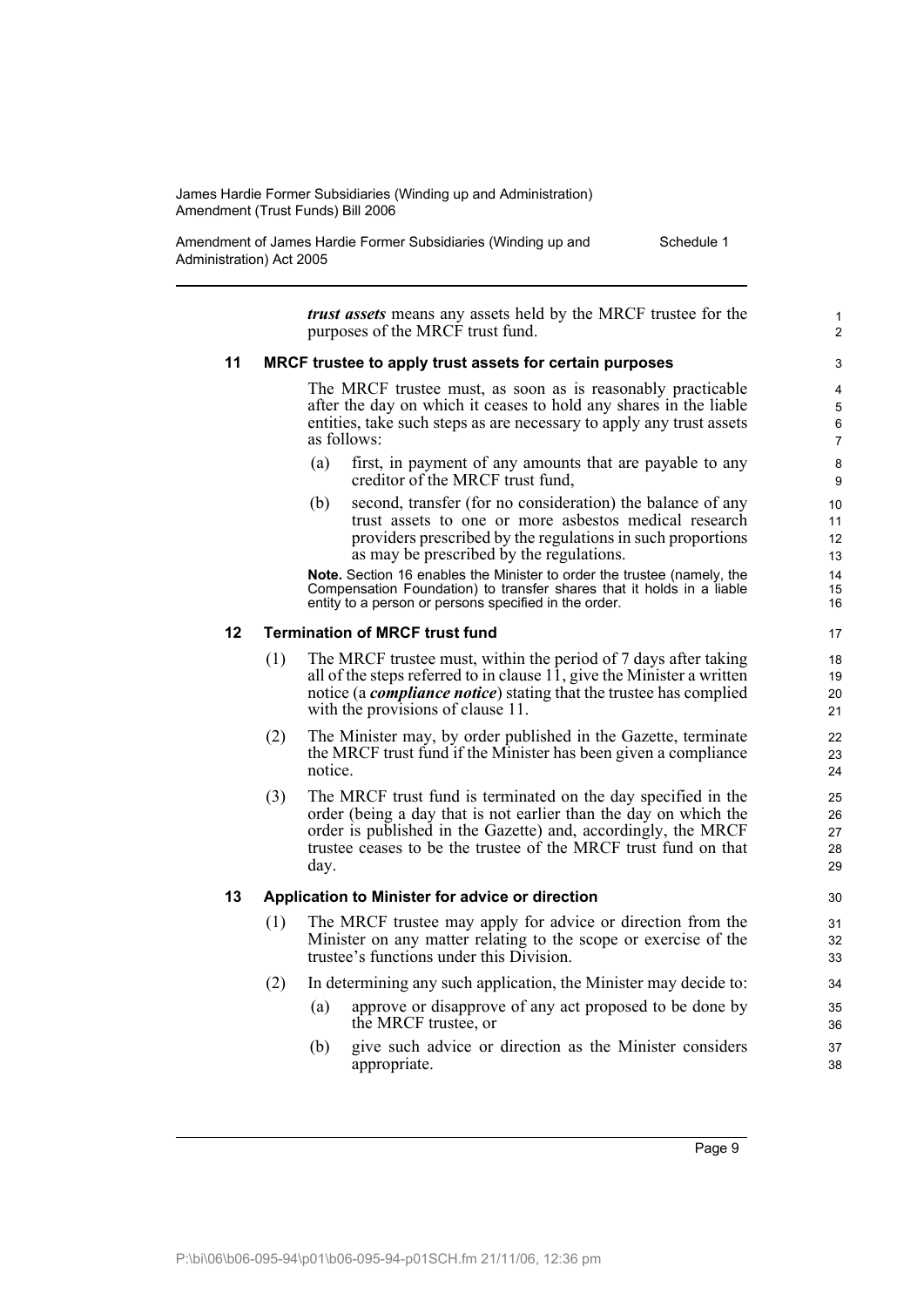Amendment of James Hardie Former Subsidiaries (Winding up and Administration) Act 2005 Schedule 1

> *trust assets* means any assets held by the MRCF trustee for the purposes of the MRCF trust fund.

### **11 MRCF trustee to apply trust assets for certain purposes**

The MRCF trustee must, as soon as is reasonably practicable after the day on which it ceases to hold any shares in the liable entities, take such steps as are necessary to apply any trust assets as follows:

- (a) first, in payment of any amounts that are payable to any creditor of the MRCF trust fund,
- (b) second, transfer (for no consideration) the balance of any trust assets to one or more asbestos medical research providers prescribed by the regulations in such proportions as may be prescribed by the regulations.

**Note.** Section 16 enables the Minister to order the trustee (namely, the Compensation Foundation) to transfer shares that it holds in a liable entity to a person or persons specified in the order.

### **12 Termination of MRCF trust fund**

- (1) The MRCF trustee must, within the period of 7 days after taking all of the steps referred to in clause 11, give the Minister a written notice (a *compliance notice*) stating that the trustee has complied with the provisions of clause 11.
- (2) The Minister may, by order published in the Gazette, terminate the MRCF trust fund if the Minister has been given a compliance notice.
- (3) The MRCF trust fund is terminated on the day specified in the order (being a day that is not earlier than the day on which the order is published in the Gazette) and, accordingly, the MRCF trustee ceases to be the trustee of the MRCF trust fund on that day.

#### **13 Application to Minister for advice or direction**

- (1) The MRCF trustee may apply for advice or direction from the Minister on any matter relating to the scope or exercise of the trustee's functions under this Division.
- (2) In determining any such application, the Minister may decide to:
	- (a) approve or disapprove of any act proposed to be done by the MRCF trustee, or
	- (b) give such advice or direction as the Minister considers appropriate.

Page 9

1  $\overline{2}$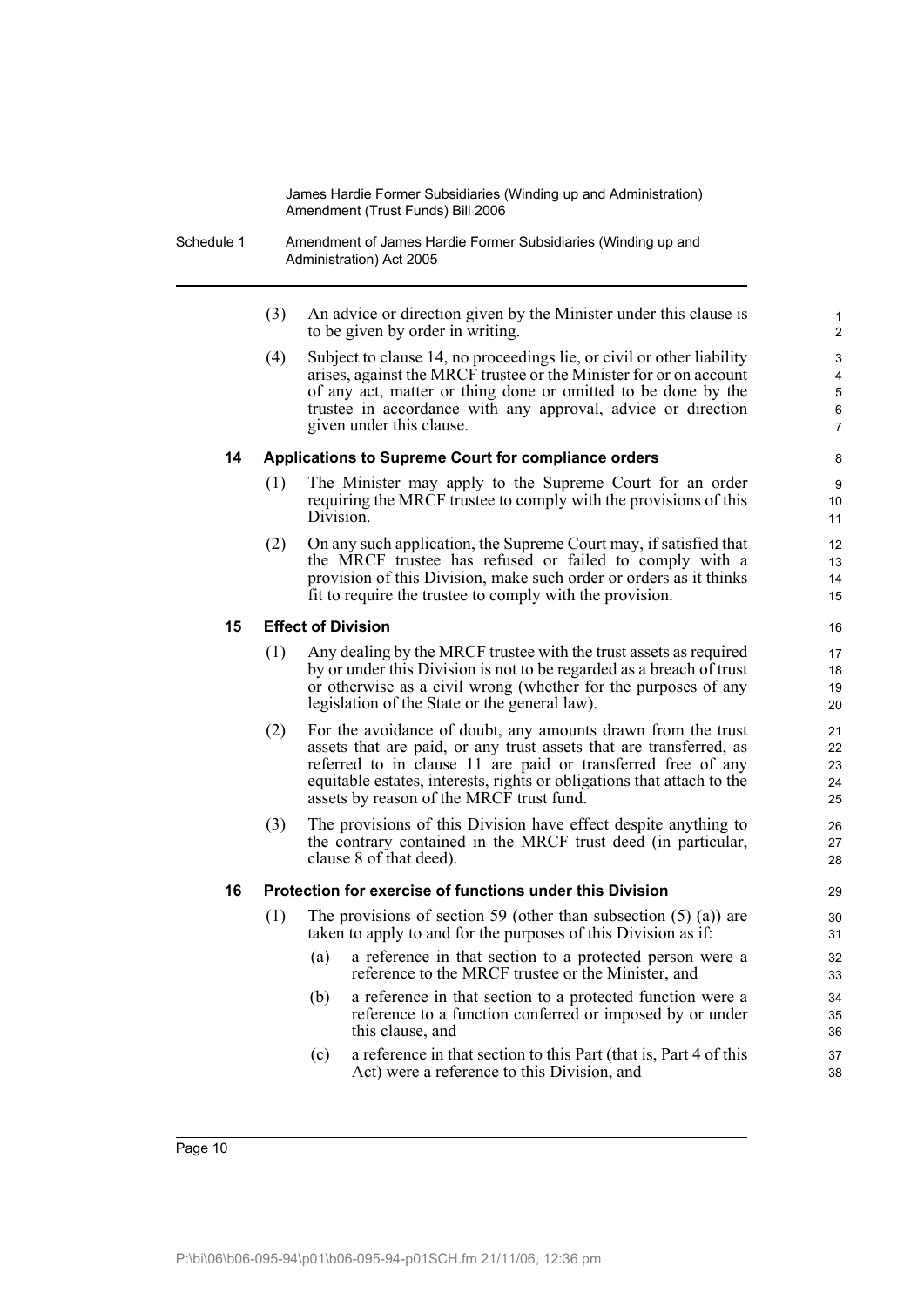Schedule 1 Amendment of James Hardie Former Subsidiaries (Winding up and Administration) Act 2005

> (3) An advice or direction given by the Minister under this clause is to be given by order in writing.

(4) Subject to clause 14, no proceedings lie, or civil or other liability arises, against the MRCF trustee or the Minister for or on account of any act, matter or thing done or omitted to be done by the trustee in accordance with any approval, advice or direction given under this clause.

### **14 Applications to Supreme Court for compliance orders**

- (1) The Minister may apply to the Supreme Court for an order requiring the MRCF trustee to comply with the provisions of this Division.
- (2) On any such application, the Supreme Court may, if satisfied that the MRCF trustee has refused or failed to comply with a provision of this Division, make such order or orders as it thinks fit to require the trustee to comply with the provision.

### **15 Effect of Division**

- (1) Any dealing by the MRCF trustee with the trust assets as required by or under this Division is not to be regarded as a breach of trust or otherwise as a civil wrong (whether for the purposes of any legislation of the State or the general law).
- (2) For the avoidance of doubt, any amounts drawn from the trust assets that are paid, or any trust assets that are transferred, as referred to in clause 11 are paid or transferred free of any equitable estates, interests, rights or obligations that attach to the assets by reason of the MRCF trust fund.
- (3) The provisions of this Division have effect despite anything to the contrary contained in the MRCF trust deed (in particular, clause 8 of that deed).

### **16 Protection for exercise of functions under this Division**

- (1) The provisions of section 59 (other than subsection (5) (a)) are taken to apply to and for the purposes of this Division as if:
	- (a) a reference in that section to a protected person were a reference to the MRCF trustee or the Minister, and
	- (b) a reference in that section to a protected function were a reference to a function conferred or imposed by or under this clause, and
	- (c) a reference in that section to this Part (that is, Part 4 of this Act) were a reference to this Division, and